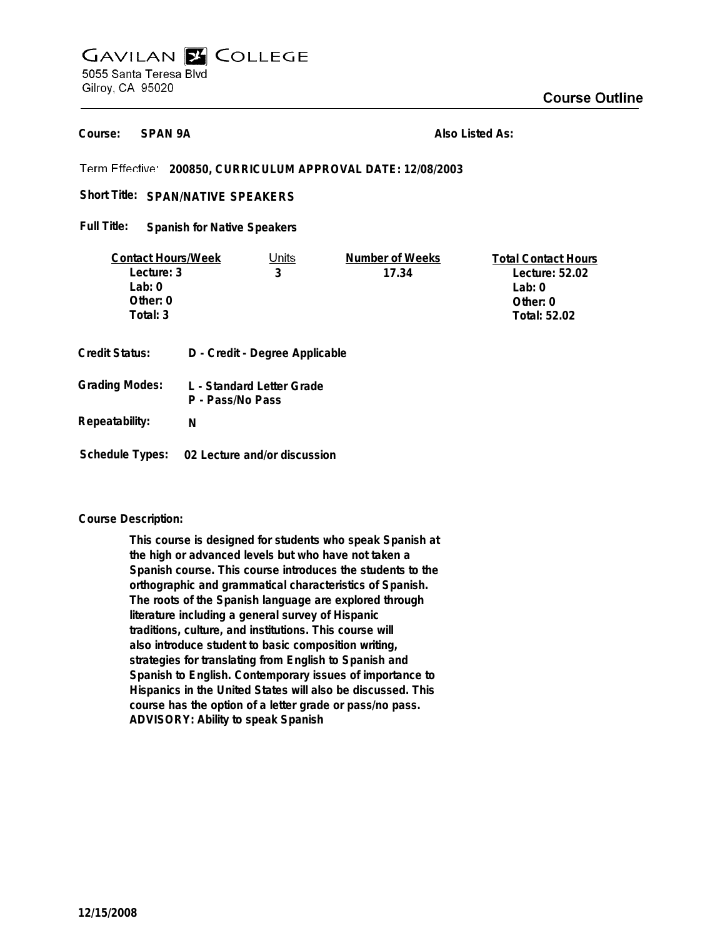# **GAVILAN E COLLEGE** 5055 Santa Teresa Blvd Gilroy, CA 95020

**SPAN 9A Course:**

**Also Listed As:**

**200850, CURRICULUM APPROVAL DATE: 12/08/2003**

Short Title: SPAN/NATIVE SPEAKERS

**Spanish for Native Speakers Full Title:**

| <b>Contact Hours/Week</b> |                                | Units                 | Number of Weeks | <b>Total Contact Hours</b> |
|---------------------------|--------------------------------|-----------------------|-----------------|----------------------------|
| Lecture: 3                |                                | 3                     | 17.34           | Lecture: 52.02             |
| Lab: 0                    |                                |                       |                 | Lab: $0$                   |
| Other: 0                  |                                |                       |                 | Other: $0$                 |
| Total: 3                  |                                |                       |                 | Total: 52.02               |
| Credit Status:            | D - Credit - Degree Applicable |                       |                 |                            |
| $C$ rodina Modoci         |                                | Clandord Latter Crade |                 |                            |

**L - Standard Letter Grade P - Pass/No Pass Grading Modes:**

**N**

**Schedule Types: 02 Lecture and/or discussion**

#### **Course Description:**

**Repeatability:**

**This course is designed for students who speak Spanish at the high or advanced levels but who have not taken a Spanish course. This course introduces the students to the orthographic and grammatical characteristics of Spanish. The roots of the Spanish language are explored through literature including a general survey of Hispanic traditions, culture, and institutions. This course will also introduce student to basic composition writing, strategies for translating from English to Spanish and Spanish to English. Contemporary issues of importance to Hispanics in the United States will also be discussed. This course has the option of a letter grade or pass/no pass. ADVISORY: Ability to speak Spanish**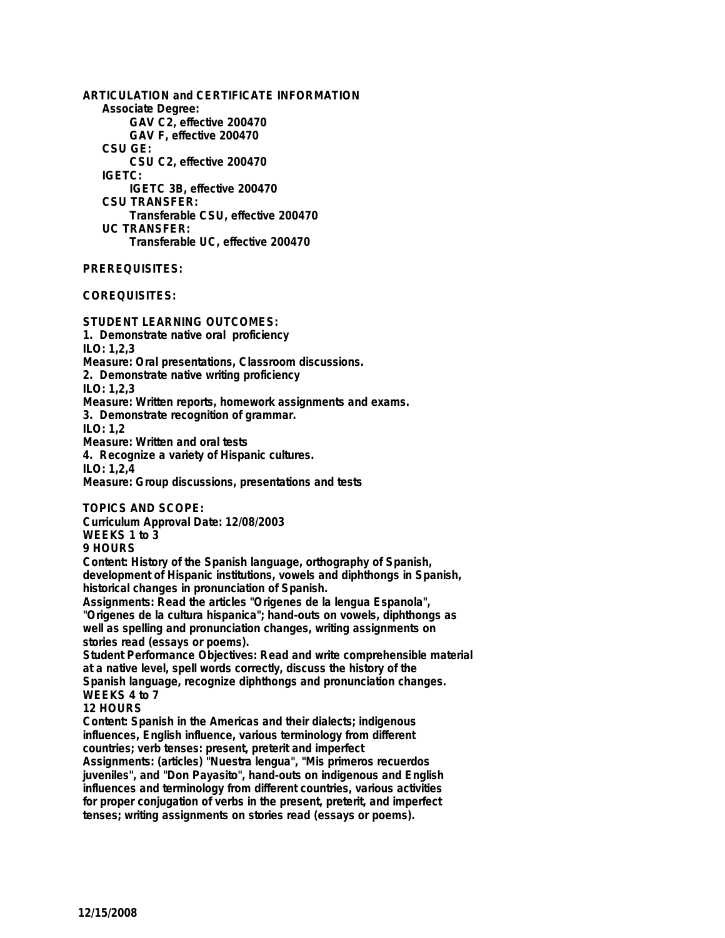**ARTICULATION and CERTIFICATE INFORMATION Associate Degree: GAV C2, effective 200470 GAV F, effective 200470 CSU GE: CSU C2, effective 200470 IGETC: IGETC 3B, effective 200470 CSU TRANSFER: Transferable CSU, effective 200470 UC TRANSFER: Transferable UC, effective 200470**

#### **PREREQUISITES:**

**COREQUISITES:**

**STUDENT LEARNING OUTCOMES: 1. Demonstrate native oral proficiency ILO: 1,2,3 Measure: Oral presentations, Classroom discussions. 2. Demonstrate native writing proficiency ILO: 1,2,3 Measure: Written reports, homework assignments and exams.**

**3. Demonstrate recognition of grammar.**

**ILO: 1,2**

**Measure: Written and oral tests**

**4. Recognize a variety of Hispanic cultures.**

**ILO: 1,2,4**

**Measure: Group discussions, presentations and tests**

**TOPICS AND SCOPE: Curriculum Approval Date: 12/08/2003 WEEKS 1 to 3**

**9 HOURS**

**Content: History of the Spanish language, orthography of Spanish, development of Hispanic institutions, vowels and diphthongs in Spanish, historical changes in pronunciation of Spanish.**

**Assignments: Read the articles "Origenes de la lengua Espanola", "Origenes de la cultura hispanica"; hand-outs on vowels, diphthongs as well as spelling and pronunciation changes, writing assignments on stories read (essays or poems).**

**Student Performance Objectives: Read and write comprehensible material at a native level, spell words correctly, discuss the history of the Spanish language, recognize diphthongs and pronunciation changes. WEEKS 4 to 7**

**12 HOURS**

**Content: Spanish in the Americas and their dialects; indigenous influences, English influence, various terminology from different countries; verb tenses: present, preterit and imperfect**

**Assignments: (articles) "Nuestra lengua", "Mis primeros recuerdos juveniles", and "Don Payasito", hand-outs on indigenous and English influences and terminology from different countries, various activities for proper conjugation of verbs in the present, preterit, and imperfect tenses; writing assignments on stories read (essays or poems).**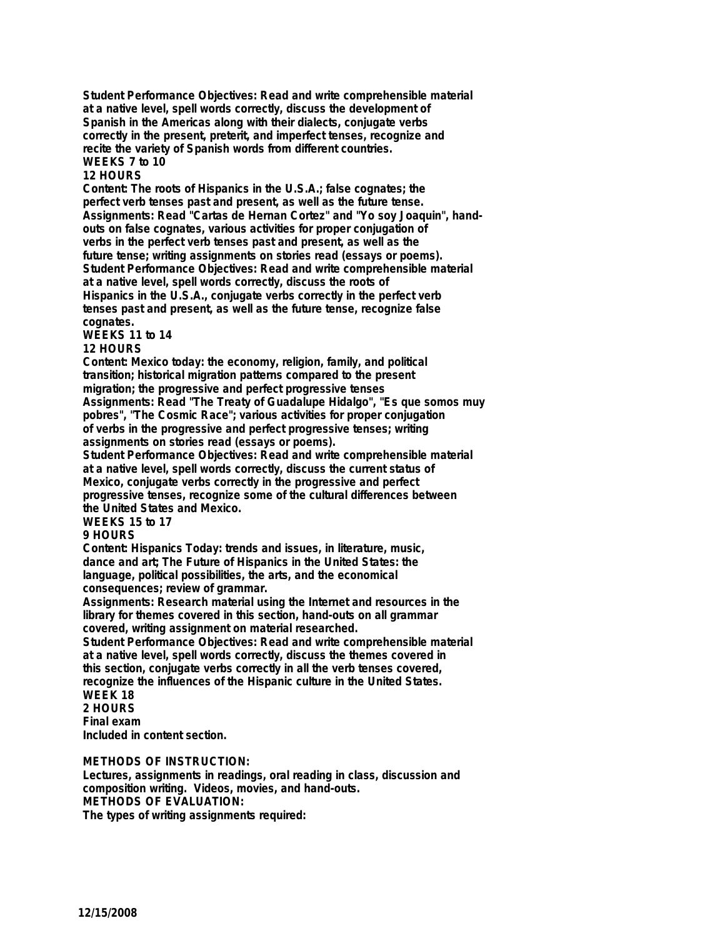**Student Performance Objectives: Read and write comprehensible material at a native level, spell words correctly, discuss the development of Spanish in the Americas along with their dialects, conjugate verbs correctly in the present, preterit, and imperfect tenses, recognize and recite the variety of Spanish words from different countries. WEEKS 7 to 10**

### **12 HOURS**

**Content: The roots of Hispanics in the U.S.A.; false cognates; the perfect verb tenses past and present, as well as the future tense. Assignments: Read "Cartas de Hernan Cortez" and "Yo soy Joaquin", handouts on false cognates, various activities for proper conjugation of verbs in the perfect verb tenses past and present, as well as the future tense; writing assignments on stories read (essays or poems). Student Performance Objectives: Read and write comprehensible material at a native level, spell words correctly, discuss the roots of Hispanics in the U.S.A., conjugate verbs correctly in the perfect verb tenses past and present, as well as the future tense, recognize false cognates.**

**WEEKS 11 to 14**

#### **12 HOURS**

**Content: Mexico today: the economy, religion, family, and political transition; historical migration patterns compared to the present migration; the progressive and perfect progressive tenses Assignments: Read "The Treaty of Guadalupe Hidalgo", "Es que somos muy pobres", "The Cosmic Race"; various activities for proper conjugation of verbs in the progressive and perfect progressive tenses; writing**

**assignments on stories read (essays or poems).**

**Student Performance Objectives: Read and write comprehensible material at a native level, spell words correctly, discuss the current status of Mexico, conjugate verbs correctly in the progressive and perfect progressive tenses, recognize some of the cultural differences between the United States and Mexico.**

## **WEEKS 15 to 17**

#### **9 HOURS**

**Content: Hispanics Today: trends and issues, in literature, music, dance and art; The Future of Hispanics in the United States: the language, political possibilities, the arts, and the economical consequences; review of grammar.**

**Assignments: Research material using the Internet and resources in the library for themes covered in this section, hand-outs on all grammar covered, writing assignment on material researched.**

**Student Performance Objectives: Read and write comprehensible material at a native level, spell words correctly, discuss the themes covered in this section, conjugate verbs correctly in all the verb tenses covered, recognize the influences of the Hispanic culture in the United States. WEEK 18**

# **2 HOURS**

**Final exam**

**Included in content section.**

### **METHODS OF INSTRUCTION:**

**Lectures, assignments in readings, oral reading in class, discussion and composition writing. Videos, movies, and hand-outs. METHODS OF EVALUATION: The types of writing assignments required:**